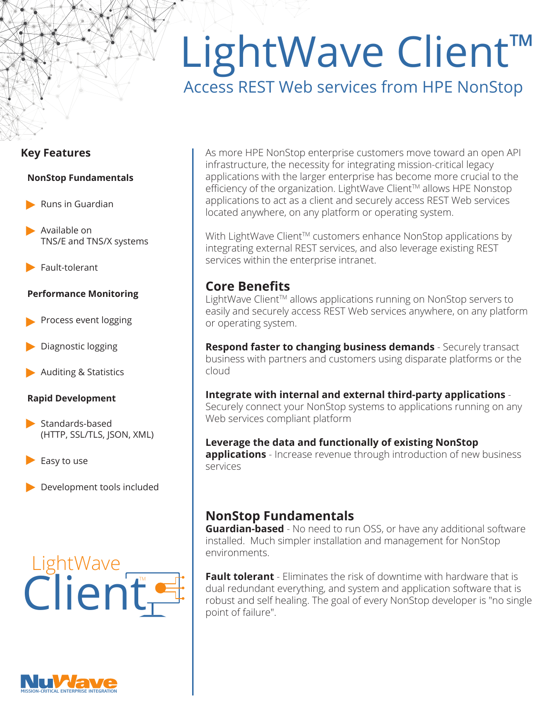# LightWave Client™ Access REST Web services from HPE NonStop

#### **Key Features**

#### **NonStop Fundamentals**

- **Runs in Guardian**
- Available on TNS/E and TNS/X systems
- $\blacktriangleright$  Fault-tolerant

#### **Performance Monitoring**

- Process event logging
- Diagnostic logging
- Auditing & Statistics

#### **Rapid Development**

- $\blacktriangleright$  Standards-based (HTTP, SSL/TLS, JSON, XML)
- Easy to use
- Development tools included

# Client LightWave



With LightWave Client™ customers enhance NonStop applications by integrating external REST services, and also leverage existing REST services within the enterprise intranet.

## **Core Benefits**

LightWave Client™ allows applications running on NonStop servers to easily and securely access REST Web services anywhere, on any platform or operating system.

**Respond faster to changing business demands** - Securely transact business with partners and customers using disparate platforms or the cloud

# **Integrate with internal and external third-party applications** -

Securely connect your NonStop systems to applications running on any Web services compliant platform

#### **Leverage the data and functionally of existing NonStop applications** - Increase revenue through introduction of new business services

## **NonStop Fundamentals**

**Guardian-based** - No need to run OSS, or have any additional software installed. Much simpler installation and management for NonStop environments.

**Fault tolerant** - Eliminates the risk of downtime with hardware that is dual redundant everything, and system and application software that is robust and self healing. The goal of every NonStop developer is "no single point of failure".